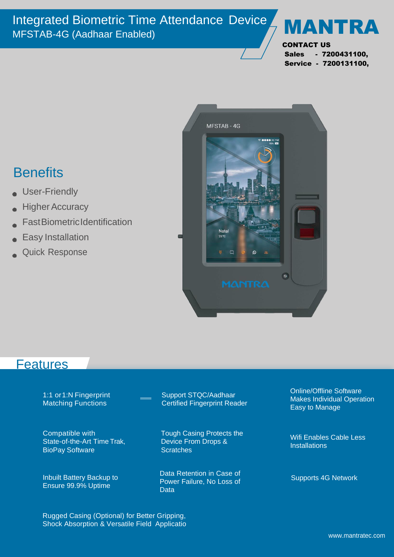

CONTACT US Sales - 7200431100, Service - 7200131100,

## **Benefits**

- User-Friendly
- **Higher Accuracy**
- **FastBiometricIdentification**
- Easy Installation
- Quick Response



## **Features**

| 1:1 or 1:N Fingerprint                           | Support STQC/Aadhaar                                           |
|--------------------------------------------------|----------------------------------------------------------------|
| <b>Matching Functions</b>                        | <b>Certified Fingerprint Reader</b>                            |
| Compatible with                                  | <b>Tough Casing Protects the</b>                               |
| State-of-the-Art Time Trak,                      | Device From Drops &                                            |
| <b>BioPay Software</b>                           | <b>Scratches</b>                                               |
| Inbuilt Battery Backup to<br>Ensure 99.9% Uptime | Data Retention in Case of<br>Power Failure, No Loss of<br>Data |

Online/Offline Software Makes Individual Operation Easy to Manage

Wifi Enables Cable Less **Installations** 

Supports 4G Network

Rugged Casing (Optional) for Better Gripping, Shock Absorption & Versatile Field Applicatio